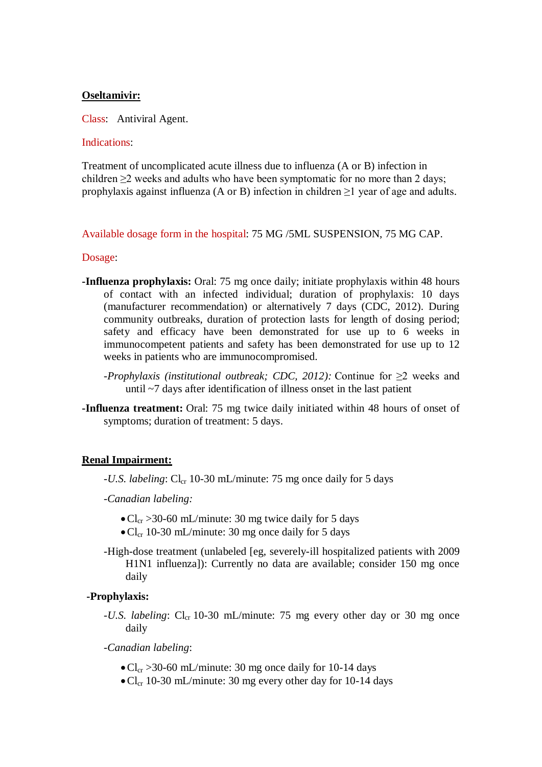# **Oseltamivir:**

Class: Antiviral Agent.

#### Indications:

Treatment of uncomplicated acute illness due to influenza (A or B) infection in children ≥2 weeks and adults who have been symptomatic for no more than 2 days; prophylaxis against influenza (A or B) infection in children  $\geq 1$  year of age and adults.

# Available dosage form in the hospital: 75 MG /5ML SUSPENSION, 75 MG CAP.

#### Dosage:

- **-Influenza prophylaxis:** Oral: 75 mg once daily; initiate prophylaxis within 48 hours of contact with an infected individual; duration of prophylaxis: 10 days (manufacturer recommendation) or alternatively 7 days (CDC, 2012). During community outbreaks, duration of protection lasts for length of dosing period; safety and efficacy have been demonstrated for use up to 6 weeks in immunocompetent patients and safety has been demonstrated for use up to 12 weeks in patients who are immunocompromised.
	- *-Prophylaxis (institutional outbreak; CDC, 2012):* Continue for ≥2 weeks and until ~7 days after identification of illness onset in the last patient
- **-Influenza treatment:** Oral: 75 mg twice daily initiated within 48 hours of onset of symptoms; duration of treatment: 5 days.

# **Renal Impairment:**

- -*U.S. labeling*: Cl<sub>cr</sub> 10-30 mL/minute: 75 mg once daily for 5 days
- -*Canadian labeling:*
	- $\text{Cl}_{\text{cr}} > 30\text{-}60 \text{ mL/minute}$ : 30 mg twice daily for 5 days
	- $\rm Cl_{cr}$  10-30 mL/minute: 30 mg once daily for 5 days
- -High-dose treatment (unlabeled [eg, severely-ill hospitalized patients with 2009 H1N1 influenza]): Currently no data are available; consider 150 mg once daily

# **-Prophylaxis:**

- *-U.S. labeling*: Cl<sub>cr</sub> 10-30 mL/minute: 75 mg every other day or 30 mg once daily
- *-Canadian labeling*:
	- $\text{Cl}_{\text{cr}} > 30\text{-}60 \text{ mL/minute}$ : 30 mg once daily for 10-14 days
	- $\bullet$  Cl<sub>cr</sub> 10-30 mL/minute: 30 mg every other day for 10-14 days